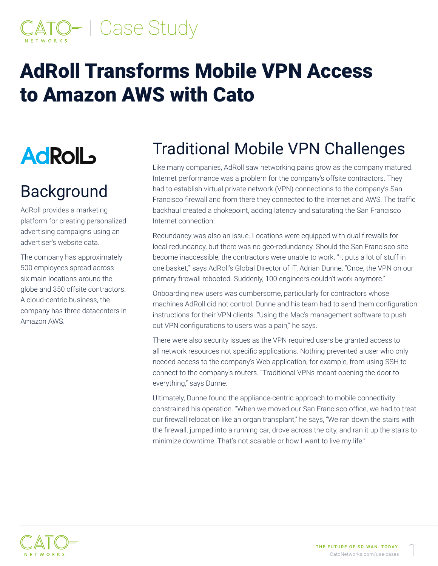# D- I Case Study

## **AdRoll Transforms Mobile VPN Access** to Amazon AWS with Cato

## **AdRolL**

## Background

AdRoll provides a marketing platform for creating personalized advertising campaigns using an advertiser's website data.

The company has approximately 500 employees spread across six main locations around the globe and 350 offsite contractors. A cloud-centric business, the company has three datacenters in Amazon AWS

## **Traditional Mobile VPN Challenges**

Like many companies, AdRoll saw networking pains grow as the company matured. Internet performance was a problem for the company's offsite contractors. They had to establish virtual private network (VPN) connections to the company's San Francisco firewall and from there they connected to the Internet and AWS. The traffic backhaul created a chokepoint, adding latency and saturating the San Francisco Internet connection.

Redundancy was also an issue. Locations were equipped with dual firewalls for local redundancy, but there was no geo-redundancy. Should the San Francisco site become inaccessible, the contractors were unable to work. "It puts a lot of stuff in one basket," says AdRoll's Global Director of IT, Adrian Dunne, "Once, the VPN on our primary firewall rebooted. Suddenly, 100 engineers couldn't work anymore."

Onboarding new users was cumbersome, particularly for contractors whose machines AdRoll did not control. Dunne and his team had to send them configuration instructions for their VPN clients. "Using the Mac's management software to push out VPN configurations to users was a pain," he says.

There were also security issues as the VPN required users be granted access to all network resources not specific applications. Nothing prevented a user who only needed access to the company's Web application, for example, from using SSH to connect to the company's routers. "Traditional VPNs meant opening the door to everything," says Dunne.

Ultimately, Dunne found the appliance-centric approach to mobile connectivity constrained his operation. "When we moved our San Francisco office, we had to treat our firewall relocation like an organ transplant," he says, "We ran down the stairs with the firewall, jumped into a running car, drove across the city, and ran it up the stairs to minimize downtime. That's not scalable or how I want to live my life."

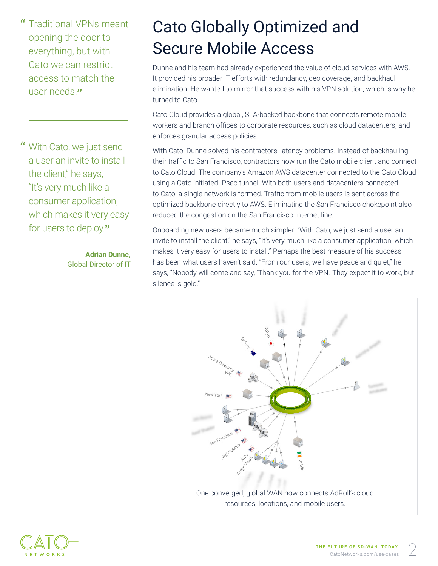**Traditional VPNs meant** opening the door to everything, but with Cato we can restrict access to match the user needs "

 $\alpha$ With Cato, we just send a user an invite to install the client," he says, "It's very much like a consumer application, which makes it very easy for users to deploy."

> **Adrian Dunne. Global Director of IT**

#### **Cato Globally Optimized and** Secure Mobile Access

Dunne and his team had already experienced the value of cloud services with AWS. It provided his broader IT efforts with redundancy, geo coverage, and backhaul elimination. He wanted to mirror that success with his VPN solution, which is why he turned to Cato.

Cato Cloud provides a global, SLA-backed backbone that connects remote mobile workers and branch offices to corporate resources, such as cloud datacenters, and enforces granular access policies.

With Cato, Dunne solved his contractors' latency problems. Instead of backhauling their traffic to San Francisco, contractors now run the Cato mobile client and connect to Cato Cloud. The company's Amazon AWS datacenter connected to the Cato Cloud using a Cato initiated IPsec tunnel. With both users and datacenters connected to Cato, a single network is formed. Traffic from mobile users is sent across the optimized backbone directly to AWS. Eliminating the San Francisco chokepoint also reduced the congestion on the San Francisco Internet line.

Onboarding new users became much simpler. "With Cato, we just send a user an invite to install the client," he says, "It's very much like a consumer application, which makes it very easy for users to install." Perhaps the best measure of his success has been what users haven't said. "From our users, we have peace and quiet," he says, "Nobody will come and say, 'Thank you for the VPN.' They expect it to work, but silence is gold."



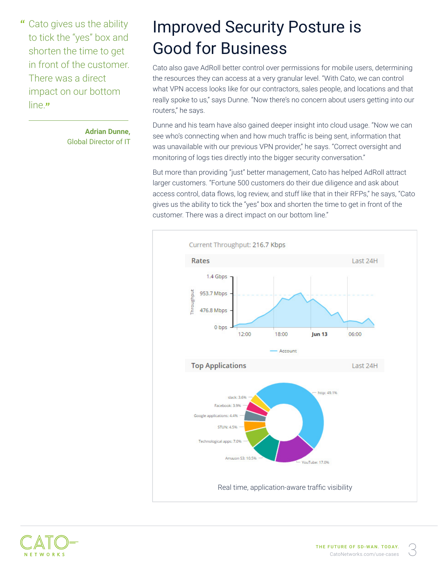$\alpha$ Cato gives us the ability to tick the "yes" box and shorten the time to get in front of the customer. There was a direct impact on our bottom line."

> **Adrian Dunne. Global Director of IT**

## **Improved Security Posture is Good for Business**

Cato also gave AdRoll better control over permissions for mobile users, determining the resources they can access at a very granular level. "With Cato, we can control what VPN access looks like for our contractors, sales people, and locations and that really spoke to us," says Dunne. "Now there's no concern about users getting into our routers," he says.

Dunne and his team have also gained deeper insight into cloud usage. "Now we can see who's connecting when and how much traffic is being sent, information that was unavailable with our previous VPN provider," he says. "Correct oversight and monitoring of logs ties directly into the bigger security conversation."

But more than providing "just" better management, Cato has helped AdRoll attract larger customers. "Fortune 500 customers do their due diligence and ask about access control, data flows, log review, and stuff like that in their RFPs," he says, "Cato gives us the ability to tick the "yes" box and shorten the time to get in front of the customer. There was a direct impact on our bottom line."